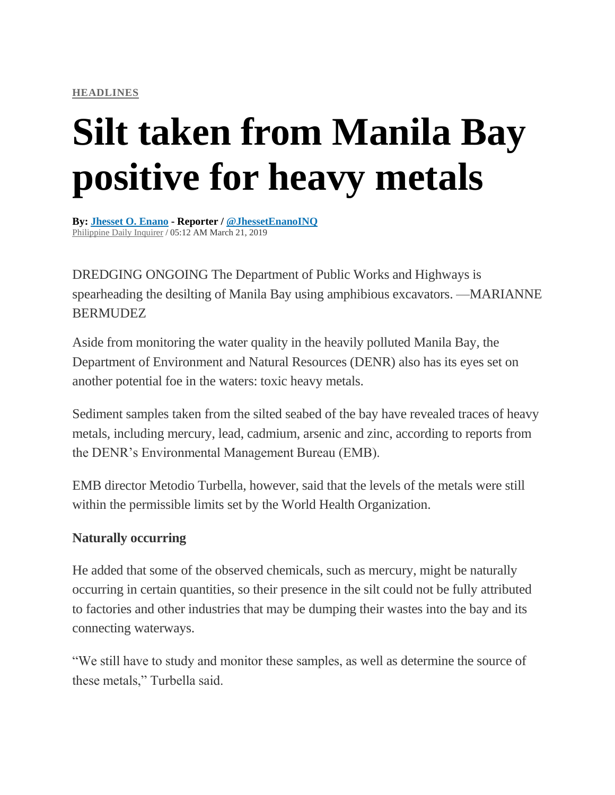## **Silt taken from Manila Bay positive for heavy metals**

**By: [Jhesset](https://newsinfo.inquirer.net/byline/jhesset-o-enano) O. Enano - Reporter / [@JhessetEnanoINQ](http://www.twitter.com/@JhessetEnanoINQ)** [Philippine](https://newsinfo.inquirer.net/source/philippine-daily-inquirer) Daily Inquirer / 05:12 AM March 21, 2019

DREDGING ONGOING The Department of Public Works and Highways is spearheading the desilting of Manila Bay using amphibious excavators. —MARIANNE BERMUDEZ

Aside from monitoring the water quality in the heavily polluted Manila Bay, the Department of Environment and Natural Resources (DENR) also has its eyes set on another potential foe in the waters: toxic heavy metals.

Sediment samples taken from the silted seabed of the bay have revealed traces of heavy metals, including mercury, lead, cadmium, arsenic and zinc, according to reports from the DENR's Environmental Management Bureau (EMB).

EMB director Metodio Turbella, however, said that the levels of the metals were still within the permissible limits set by the World Health Organization.

## **Naturally occurring**

He added that some of the observed chemicals, such as mercury, might be naturally occurring in certain quantities, so their presence in the silt could not be fully attributed to factories and other industries that may be dumping their wastes into the bay and its connecting waterways.

"We still have to study and monitor these samples, as well as determine the source of these metals," Turbella said.